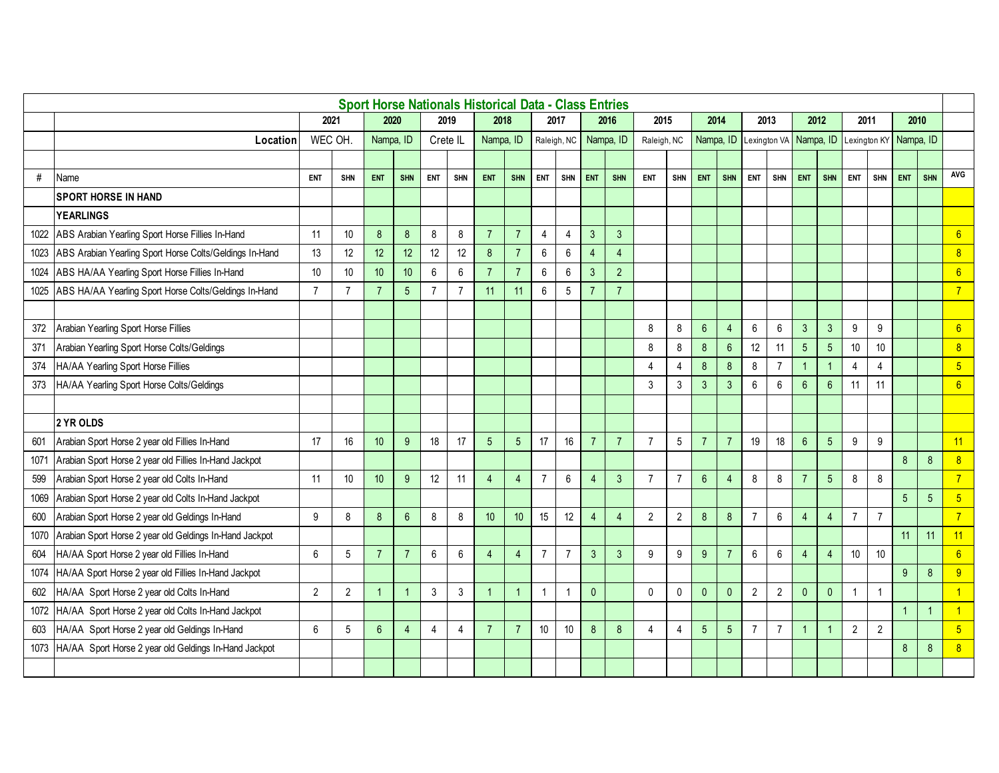|      |                                                         |                 |                |                  |                |                |                | <b>Sport Horse Nationals Historical Data - Class Entries</b> |                |                 |                 |                |                |                |                |                  |                |                |                |                        |                 |                |                |              |                  |                  |
|------|---------------------------------------------------------|-----------------|----------------|------------------|----------------|----------------|----------------|--------------------------------------------------------------|----------------|-----------------|-----------------|----------------|----------------|----------------|----------------|------------------|----------------|----------------|----------------|------------------------|-----------------|----------------|----------------|--------------|------------------|------------------|
|      |                                                         | 2021            |                | 2020             |                | 2019           |                | 2018                                                         |                |                 | 2017            |                | 2016           | 2015           |                | 2014             |                | 2013           |                | 2012                   |                 | 2011           |                | 2010         |                  |                  |
|      | Location                                                | <b>WEC OH</b>   |                | Nampa, ID        |                | Crete IL       |                | Nampa, ID                                                    |                |                 | Raleigh, NC     |                | Nampa, ID      | Raleigh, NC    |                | Nampa, ID        |                |                |                | Lexington VA Nampa, ID |                 | Lexington KY   |                | Nampa, ID    |                  |                  |
|      |                                                         |                 |                |                  |                |                |                |                                                              |                |                 |                 |                |                |                |                |                  |                |                |                |                        |                 |                |                |              |                  |                  |
| $\#$ | Name                                                    | <b>ENT</b>      | <b>SHN</b>     | <b>ENT</b>       | <b>SHN</b>     | <b>ENT</b>     | <b>SHN</b>     | ENT                                                          | <b>SHN</b>     | <b>ENT</b>      | <b>SHN</b>      | <b>ENT</b>     | <b>SHN</b>     | <b>ENT</b>     | <b>SHN</b>     | <b>ENT</b>       | <b>SHN</b>     | <b>ENT</b>     | <b>SHN</b>     | ENT                    | <b>SHN</b>      | <b>ENT</b>     | <b>SHN</b>     | <b>ENT</b>   | <b>SHN</b>       | AVG              |
|      | <b>SPORT HORSE IN HAND</b>                              |                 |                |                  |                |                |                |                                                              |                |                 |                 |                |                |                |                |                  |                |                |                |                        |                 |                |                |              |                  |                  |
|      | <b>YEARLINGS</b>                                        |                 |                |                  |                |                |                |                                                              |                |                 |                 |                |                |                |                |                  |                |                |                |                        |                 |                |                |              |                  |                  |
| 1022 | ABS Arabian Yearling Sport Horse Fillies In-Hand        | 11              | 10             | 8                | 8              | 8              | 8              | $\overline{7}$                                               | $\overline{7}$ | 4               | $\overline{4}$  | $\mathbf{3}$   | $\mathbf{3}$   |                |                |                  |                |                |                |                        |                 |                |                |              |                  | 6                |
| 1023 | ABS Arabian Yearling Sport Horse Colts/Geldings In-Hand | 13              | 12             | 12 <sup>°</sup>  | 12             | 12             | 12             | $\delta$                                                     | $\overline{7}$ | $\,6\,$         | 6               | $\overline{4}$ | $\overline{4}$ |                |                |                  |                |                |                |                        |                 |                |                |              |                  | 8                |
| 1024 | ABS HA/AA Yearling Sport Horse Fillies In-Hand          | 10 <sup>°</sup> | 10             | 10 <sup>°</sup>  | 10             | 6              | 6              | $\overline{7}$                                               | $\overline{7}$ | 6               | 6               | $\mathbf{3}$   | $\overline{2}$ |                |                |                  |                |                |                |                        |                 |                |                |              |                  | 6                |
| 1025 | ABS HA/AA Yearling Sport Horse Colts/Geldings In-Hand   | $\overline{7}$  | $\overline{7}$ | $\overline{7}$   | 5 <sup>5</sup> | $\overline{7}$ | $\overline{7}$ | 11                                                           | 11             | $6\phantom{1}6$ | 5               | $\overline{7}$ | $\overline{7}$ |                |                |                  |                |                |                |                        |                 |                |                |              |                  | $\overline{7}$   |
|      |                                                         |                 |                |                  |                |                |                |                                                              |                |                 |                 |                |                |                |                |                  |                |                |                |                        |                 |                |                |              |                  |                  |
| 372  | Arabian Yearling Sport Horse Fillies                    |                 |                |                  |                |                |                |                                                              |                |                 |                 |                |                | 8              | 8              | $6\phantom{1}$   | $\overline{4}$ | 6              | 6              | $\mathbf{3}$           | $\mathbf{3}$    | 9              | 9              |              |                  | 6                |
| 371  | Arabian Yearling Sport Horse Colts/Geldings             |                 |                |                  |                |                |                |                                                              |                |                 |                 |                |                | 8              | 8              | $\bf 8$          | $6\,$          | 12             | 11             | $\overline{5}$         | $\sqrt{5}$      | 10             | 10             |              |                  | $\boldsymbol{8}$ |
| 374  | HA/AA Yearling Sport Horse Fillies                      |                 |                |                  |                |                |                |                                                              |                |                 |                 |                |                | 4              | 4              | $\bf 8$          | 8              | 8              | $\overline{7}$ | $\overline{1}$         | $\overline{1}$  | $\overline{4}$ | 4              |              |                  | $5\overline{)}$  |
| 373  | HA/AA Yearling Sport Horse Colts/Geldings               |                 |                |                  |                |                |                |                                                              |                |                 |                 |                |                | 3              | 3              | $\mathbf{3}$     | $\mathbf{3}$   | 6              | 6              | $6\overline{6}$        | $6\phantom{1}$  | 11             | 11             |              |                  | $6\overline{6}$  |
|      |                                                         |                 |                |                  |                |                |                |                                                              |                |                 |                 |                |                |                |                |                  |                |                |                |                        |                 |                |                |              |                  |                  |
|      | 2 YR OLDS                                               |                 |                |                  |                |                |                |                                                              |                |                 |                 |                |                |                |                |                  |                |                |                |                        |                 |                |                |              |                  |                  |
| 601  | Arabian Sport Horse 2 year old Fillies In-Hand          | 17              | 16             | 10 <sup>10</sup> | $9^{\circ}$    | 18             | 17             | 5                                                            | 5              | 17              | 16              | $\overline{7}$ | $\overline{7}$ | $\overline{7}$ | 5              | $\overline{7}$   | $\overline{7}$ | 19             | 18             | $6\phantom{1}$         | $5\phantom{.0}$ | 9              | 9              |              |                  | 11               |
| 1071 | Arabian Sport Horse 2 year old Fillies In-Hand Jackpot  |                 |                |                  |                |                |                |                                                              |                |                 |                 |                |                |                |                |                  |                |                |                |                        |                 |                |                | 8            | $\delta$         | $\boldsymbol{8}$ |
| 599  | Arabian Sport Horse 2 year old Colts In-Hand            | 11              | 10             | 10 <sup>°</sup>  | 9              | 12             | 11             | $\overline{4}$                                               | $\overline{4}$ | $\overline{7}$  | 6               | $\overline{4}$ | $\mathbf{3}$   | $\overline{7}$ | $\overline{7}$ | $\boldsymbol{6}$ | $\overline{4}$ | $\bf 8$        | 8              | $\overline{7}$         | $5\phantom{.0}$ | $\bf 8$        | 8              |              |                  | $\overline{7}$   |
| 1069 | Arabian Sport Horse 2 year old Colts In-Hand Jackpot    |                 |                |                  |                |                |                |                                                              |                |                 |                 |                |                |                |                |                  |                |                |                |                        |                 |                |                | 5            | $5\overline{5}$  | $5\overline{)}$  |
| 600  | Arabian Sport Horse 2 year old Geldings In-Hand         | 9               | 8              | 8                | $6\phantom{1}$ | 8              | 8              | 10                                                           | 10             | 15              | 12              | $\overline{4}$ | $\overline{4}$ | $\overline{2}$ | $\sqrt{2}$     | $\bf 8$          | 8              | $\overline{7}$ | 6              | $\overline{4}$         | $\overline{4}$  | $\overline{7}$ | $\overline{7}$ |              |                  | $\overline{7}$   |
| 1070 | Arabian Sport Horse 2 year old Geldings In-Hand Jackpot |                 |                |                  |                |                |                |                                                              |                |                 |                 |                |                |                |                |                  |                |                |                |                        |                 |                |                | 11           | 11               | 11               |
| 604  | HA/AA Sport Horse 2 year old Fillies In-Hand            | 6               | 5              | $\overline{7}$   | $\overline{7}$ | 6              | 6              | 4                                                            | 4              | $\overline{7}$  | $\overline{7}$  | $\mathbf{3}$   | 3              | 9              | 9              | 9                | 7              | 6              | 6              | $\overline{4}$         | $\overline{4}$  | 10             | 10             |              |                  | 6                |
| 1074 | HA/AA Sport Horse 2 year old Fillies In-Hand Jackpot    |                 |                |                  |                |                |                |                                                              |                |                 |                 |                |                |                |                |                  |                |                |                |                        |                 |                |                | 9            | 8                | 9                |
| 602  | HA/AA Sport Horse 2 year old Colts In-Hand              | $\overline{2}$  | $\overline{2}$ | $\overline{1}$   |                | $\mathbf{3}$   | $\sqrt{3}$     |                                                              | -1             | $\overline{1}$  | $\overline{1}$  | $\mathbf{0}$   |                | $\mathbf{0}$   | $\pmb{0}$      | $\pmb{0}$        | $\pmb{0}$      | $\overline{2}$ | $\overline{2}$ | $\overline{0}$         | $\mathbf 0$     | $\mathbf{1}$   | $\overline{1}$ |              |                  | $\overline{1}$   |
| 1072 | HA/AA Sport Horse 2 year old Colts In-Hand Jackpot      |                 |                |                  |                |                |                |                                                              |                |                 |                 |                |                |                |                |                  |                |                |                |                        |                 |                |                | $\mathbf{1}$ | $\overline{1}$   |                  |
| 603  | HA/AA Sport Horse 2 year old Geldings In-Hand           | 6               | 5              | 6                | $\overline{4}$ | 4              | $\overline{4}$ | $\overline{7}$                                               | $\overline{7}$ | 10              | 10 <sup>°</sup> | 8              | 8              | 4              | 4              | 5                | 5              | $\overline{7}$ | 7              |                        | -1              | $\overline{2}$ | $\overline{2}$ |              |                  | $5\overline{)}$  |
| 1073 | HA/AA Sport Horse 2 year old Geldings In-Hand Jackpot   |                 |                |                  |                |                |                |                                                              |                |                 |                 |                |                |                |                |                  |                |                |                |                        |                 |                |                | 8            | $\boldsymbol{8}$ | $\overline{8}$   |
|      |                                                         |                 |                |                  |                |                |                |                                                              |                |                 |                 |                |                |                |                |                  |                |                |                |                        |                 |                |                |              |                  |                  |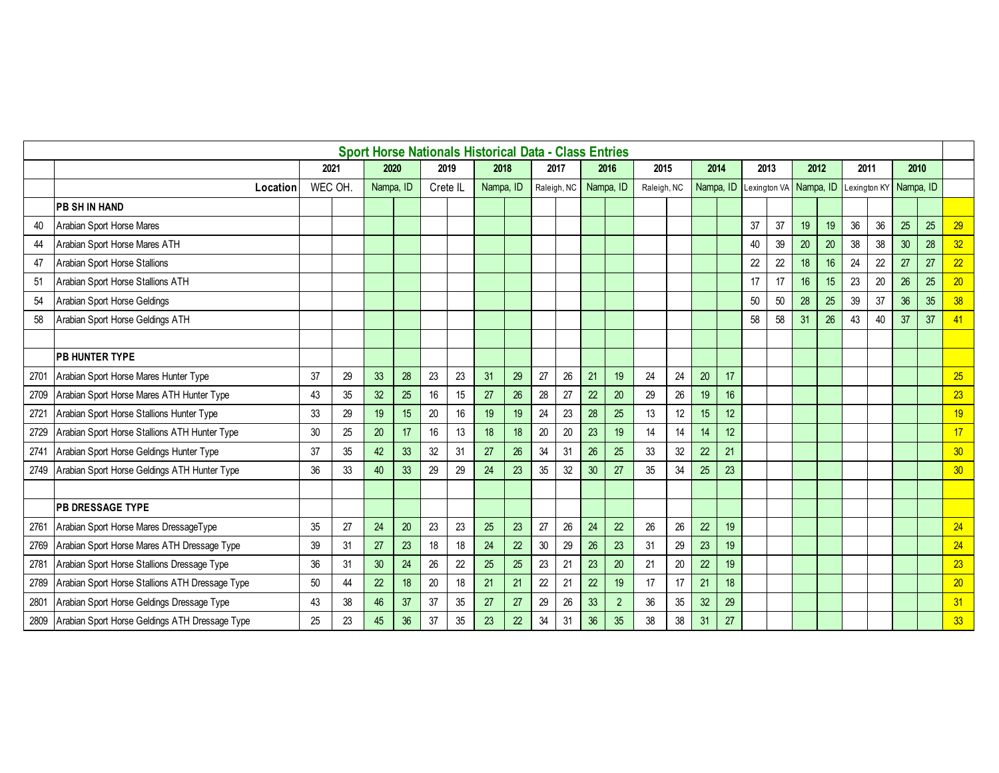|      |                                                 |               |    |                 |    |          |      | <b>Sport Horse Nationals Historical Data - Class Entries</b> |                 |    |             |    |           |             |    |           |    |              |    |           |    |      |              |           |    |    |
|------|-------------------------------------------------|---------------|----|-----------------|----|----------|------|--------------------------------------------------------------|-----------------|----|-------------|----|-----------|-------------|----|-----------|----|--------------|----|-----------|----|------|--------------|-----------|----|----|
|      |                                                 | 2021          |    | 2020            |    |          | 2019 | 2018                                                         |                 |    | 2017        |    | 2016      | 2015        |    | 2014      |    | 2013         |    | 2012      |    | 2011 |              | 2010      |    |    |
|      | Location                                        | <b>WEC OH</b> |    | Nampa, ID       |    | Crete IL |      | Nampa, ID                                                    |                 |    | Raleigh, NC |    | Nampa, ID | Raleigh, NC |    | Nampa, ID |    | Lexington VA |    | Nampa, ID |    |      | Lexington KY | Nampa, ID |    |    |
|      | <b>PB SH IN HAND</b>                            |               |    |                 |    |          |      |                                                              |                 |    |             |    |           |             |    |           |    |              |    |           |    |      |              |           |    |    |
| 40   | Arabian Sport Horse Mares                       |               |    |                 |    |          |      |                                                              |                 |    |             |    |           |             |    |           |    | 37           | 37 | 19        | 19 | 36   | 36           | 25        | 25 | 29 |
| 44   | Arabian Sport Horse Mares ATH                   |               |    |                 |    |          |      |                                                              |                 |    |             |    |           |             |    |           |    | 40           | 39 | 20        | 20 | 38   | 38           | 30        | 28 | 32 |
| 47   | Arabian Sport Horse Stallions                   |               |    |                 |    |          |      |                                                              |                 |    |             |    |           |             |    |           |    | 22           | 22 | 18        | 16 | 24   | 22           | 27        | 27 | 22 |
| 51   | Arabian Sport Horse Stallions ATH               |               |    |                 |    |          |      |                                                              |                 |    |             |    |           |             |    |           |    | 17           | 17 | 16        | 15 | 23   | 20           | 26        | 25 | 20 |
| 54   | Arabian Sport Horse Geldings                    |               |    |                 |    |          |      |                                                              |                 |    |             |    |           |             |    |           |    | 50           | 50 | 28        | 25 | 39   | 37           | 36        | 35 | 38 |
| 58   | Arabian Sport Horse Geldings ATH                |               |    |                 |    |          |      |                                                              |                 |    |             |    |           |             |    |           |    | 58           | 58 | 31        | 26 | 43   | 40           | 37        | 37 | 41 |
|      |                                                 |               |    |                 |    |          |      |                                                              |                 |    |             |    |           |             |    |           |    |              |    |           |    |      |              |           |    |    |
|      | <b>PB HUNTER TYPE</b>                           |               |    |                 |    |          |      |                                                              |                 |    |             |    |           |             |    |           |    |              |    |           |    |      |              |           |    |    |
| 2701 | Arabian Sport Horse Mares Hunter Type           | 37            | 29 | 33              | 28 | 23       | 23   | 31                                                           | 29              | 27 | 26          | 21 | 19        | 24          | 24 | 20        | 17 |              |    |           |    |      |              |           |    | 25 |
| 2709 | Arabian Sport Horse Mares ATH Hunter Type       | 43            | 35 | 32              | 25 | 16       | 15   | 27                                                           | 26              | 28 | 27          | 22 | 20        | 29          | 26 | 19        | 16 |              |    |           |    |      |              |           |    | 23 |
| 2721 | Arabian Sport Horse Stallions Hunter Type       | 33            | 29 | 19              | 15 | 20       | 16   | 19                                                           | 19              | 24 | 23          | 28 | 25        | 13          | 12 | 15        | 12 |              |    |           |    |      |              |           |    | 19 |
| 2729 | Arabian Sport Horse Stallions ATH Hunter Type   | 30            | 25 | 20              | 17 | 16       | 13   | 18                                                           | 18 <sup>°</sup> | 20 | 20          | 23 | 19        | 14          | 14 | 14        | 12 |              |    |           |    |      |              |           |    | 17 |
| 2741 | Arabian Sport Horse Geldings Hunter Type        | 37            | 35 | 42              | 33 | 32       | 31   | 27                                                           | 26              | 34 | 31          | 26 | 25        | 33          | 32 | 22        | 21 |              |    |           |    |      |              |           |    | 30 |
| 2749 | Arabian Sport Horse Geldings ATH Hunter Type    | 36            | 33 | 40              | 33 | 29       | 29   | 24                                                           | 23              | 35 | 32          | 30 | 27        | 35          | 34 | 25        | 23 |              |    |           |    |      |              |           |    | 30 |
|      |                                                 |               |    |                 |    |          |      |                                                              |                 |    |             |    |           |             |    |           |    |              |    |           |    |      |              |           |    |    |
|      | <b>PB DRESSAGE TYPE</b>                         |               |    |                 |    |          |      |                                                              |                 |    |             |    |           |             |    |           |    |              |    |           |    |      |              |           |    |    |
| 2761 | Arabian Sport Horse Mares DressageType          | 35            | 27 | 24              | 20 | 23       | 23   | 25                                                           | 23              | 27 | 26          | 24 | 22        | 26          | 26 | 22        | 19 |              |    |           |    |      |              |           |    | 24 |
| 2769 | Arabian Sport Horse Mares ATH Dressage Type     | 39            | 31 | 27              | 23 | 18       | 18   | 24                                                           | 22              | 30 | 29          | 26 | 23        | 31          | 29 | 23        | 19 |              |    |           |    |      |              |           |    | 24 |
| 2781 | Arabian Sport Horse Stallions Dressage Type     | 36            | 31 | 30 <sub>2</sub> | 24 | 26       | 22   | 25                                                           | 25              | 23 | 21          | 23 | 20        | 21          | 20 | 22        | 19 |              |    |           |    |      |              |           |    | 23 |
| 2789 | Arabian Sport Horse Stallions ATH Dressage Type | 50            | 44 | 22              | 18 | 20       | 18   | 21                                                           | 21              | 22 | 21          | 22 | 19        | 17          | 17 | 21        | 18 |              |    |           |    |      |              |           |    | 20 |
| 2801 | Arabian Sport Horse Geldings Dressage Type      | 43            | 38 | 46              | 37 | 37       | 35   | 27                                                           | 27              | 29 | 26          | 33 | 2         | 36          | 35 | 32        | 29 |              |    |           |    |      |              |           |    | 31 |
| 2809 | Arabian Sport Horse Geldings ATH Dressage Type  | 25            | 23 | 45              | 36 | 37       | 35   | 23                                                           | 22              | 34 | 31          | 36 | 35        | 38          | 38 | 31        | 27 |              |    |           |    |      |              |           |    | 33 |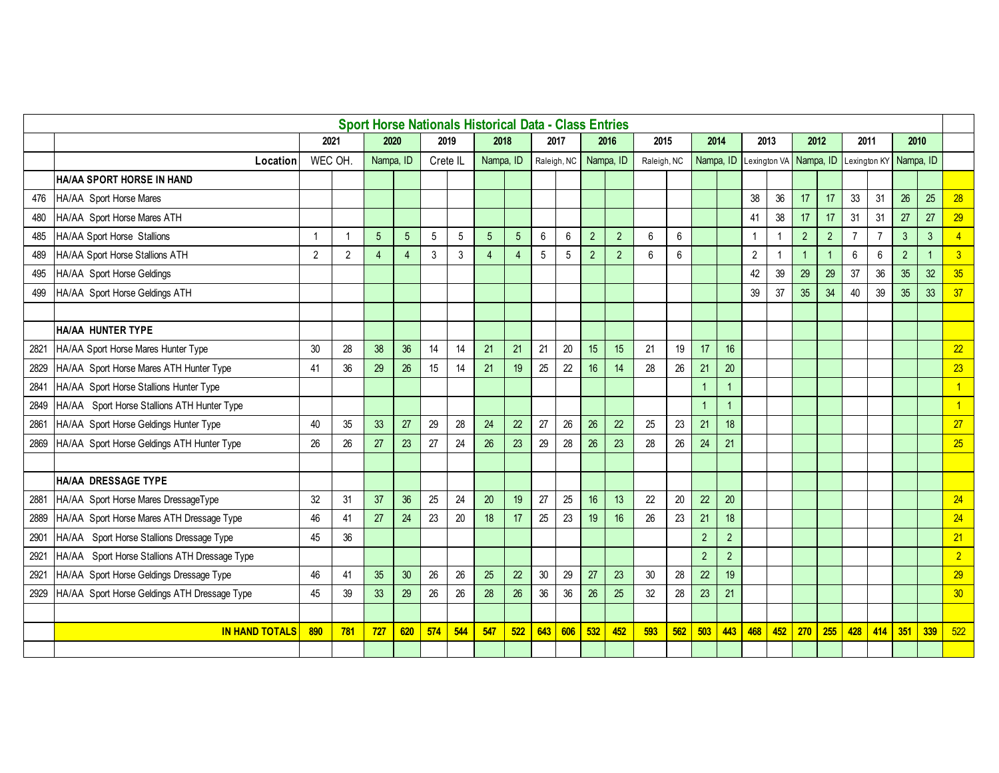|      |                                               |               |                |                |                 |                 |       | <b>Sport Horse Nationals Historical Data - Class Entries</b> |                 |                 |             |                |                |             |     |                |                |                |     |                |                |                                               |                |                |                |                |
|------|-----------------------------------------------|---------------|----------------|----------------|-----------------|-----------------|-------|--------------------------------------------------------------|-----------------|-----------------|-------------|----------------|----------------|-------------|-----|----------------|----------------|----------------|-----|----------------|----------------|-----------------------------------------------|----------------|----------------|----------------|----------------|
|      |                                               | 2021          |                | 2020           |                 |                 | 2019  | 2018                                                         |                 | 2017            |             |                | 2016           | 2015        |     | 2014           |                | 2013           |     | 2012           |                | 2011                                          |                | 2010           |                |                |
|      | Location                                      | <b>WEC OH</b> |                | Nampa, ID      |                 | Crete IL        |       | Nampa, ID                                                    |                 |                 | Raleigh, NC |                | Nampa, ID      | Raleigh, NC |     | Nampa, ID      |                |                |     |                |                | Lexington VA Nampa, ID Lexington KY Nampa, ID |                |                |                |                |
|      | HA/AA SPORT HORSE IN HAND                     |               |                |                |                 |                 |       |                                                              |                 |                 |             |                |                |             |     |                |                |                |     |                |                |                                               |                |                |                |                |
| 476  | HA/AA Sport Horse Mares                       |               |                |                |                 |                 |       |                                                              |                 |                 |             |                |                |             |     |                |                | 38             | 36  | 17             | 17             | 33                                            | 31             | 26             | 25             | 28             |
| 480  | HA/AA Sport Horse Mares ATH                   |               |                |                |                 |                 |       |                                                              |                 |                 |             |                |                |             |     |                |                | 41             | 38  | 17             | 17             | 31                                            | 31             | 27             | 27             | 29             |
| 485  | HA/AA Sport Horse Stallions                   |               | $\overline{1}$ | 5              | 5 <sup>5</sup>  | $5\phantom{.0}$ | $5\,$ | 5                                                            | $5\phantom{.0}$ | 6               | 6           | $\overline{2}$ | $\overline{2}$ | 6           | 6   |                |                | 1              |     | $\overline{2}$ | $\overline{2}$ | $\overline{7}$                                | $\overline{7}$ | $\mathbf{3}$   | $\mathbf{3}$   | $\overline{4}$ |
| 489  | HA/AA Sport Horse Stallions ATH               | 2             | $\overline{2}$ | $\overline{4}$ | $\overline{4}$  | $\mathbf{3}$    | 3     | 4                                                            | $\overline{4}$  | 5               | 5           | $\overline{2}$ | 2              | 6           | 6   |                |                | $\overline{2}$ |     | $\overline{1}$ | -1             | 6                                             | 6              | $\overline{2}$ | $\overline{1}$ | $\overline{3}$ |
| 495  | HA/AA Sport Horse Geldings                    |               |                |                |                 |                 |       |                                                              |                 |                 |             |                |                |             |     |                |                | 42             | 39  | 29             | 29             | 37                                            | 36             | 35             | 32             | 35             |
| 499  | HA/AA Sport Horse Geldings ATH                |               |                |                |                 |                 |       |                                                              |                 |                 |             |                |                |             |     |                |                | 39             | 37  | 35             | 34             | 40                                            | 39             | 35             | 33             | 37             |
|      |                                               |               |                |                |                 |                 |       |                                                              |                 |                 |             |                |                |             |     |                |                |                |     |                |                |                                               |                |                |                |                |
|      | HA/AA HUNTER TYPE                             |               |                |                |                 |                 |       |                                                              |                 |                 |             |                |                |             |     |                |                |                |     |                |                |                                               |                |                |                |                |
| 2821 | HA/AA Sport Horse Mares Hunter Type           | 30            | 28             | 38             | 36              | 14              | 14    | 21                                                           | 21              | 21              | 20          | 15             | 15             | 21          | 19  | 17             | 16             |                |     |                |                |                                               |                |                |                | 22             |
| 2829 | HA/AA Sport Horse Mares ATH Hunter Type       | 41            | 36             | 29             | 26              | 15              | 14    | 21                                                           | 19              | 25              | 22          | 16             | 14             | 28          | 26  | 21             | 20             |                |     |                |                |                                               |                |                |                | 23             |
| 2841 | HA/AA Sport Horse Stallions Hunter Type       |               |                |                |                 |                 |       |                                                              |                 |                 |             |                |                |             |     |                |                |                |     |                |                |                                               |                |                |                |                |
| 2849 | HA/AA Sport Horse Stallions ATH Hunter Type   |               |                |                |                 |                 |       |                                                              |                 |                 |             |                |                |             |     |                |                |                |     |                |                |                                               |                |                |                | $\overline{1}$ |
| 2861 | HA/AA Sport Horse Geldings Hunter Type        | 40            | 35             | 33             | 27              | 29              | 28    | 24                                                           | 22              | 27              | 26          | 26             | 22             | 25          | 23  | 21             | 18             |                |     |                |                |                                               |                |                |                | 27             |
| 2869 | HA/AA Sport Horse Geldings ATH Hunter Type    | 26            | 26             | 27             | 23              | 27              | 24    | 26                                                           | 23              | 29              | 28          | 26             | 23             | 28          | 26  | 24             | 21             |                |     |                |                |                                               |                |                |                | 25             |
|      |                                               |               |                |                |                 |                 |       |                                                              |                 |                 |             |                |                |             |     |                |                |                |     |                |                |                                               |                |                |                |                |
|      | HA/AA DRESSAGE TYPE                           |               |                |                |                 |                 |       |                                                              |                 |                 |             |                |                |             |     |                |                |                |     |                |                |                                               |                |                |                |                |
| 2881 | HA/AA Sport Horse Mares DressageType          | 32            | 31             | 37             | 36              | 25              | 24    | 20                                                           | 19              | 27              | 25          | 16             | 13             | 22          | 20  | 22             | 20             |                |     |                |                |                                               |                |                |                | 24             |
| 2889 | HA/AA Sport Horse Mares ATH Dressage Type     | 46            | 41             | 27             | 24              | 23              | 20    | 18                                                           | 17              | 25              | 23          | 19             | 16             | 26          | 23  | 21             | 18             |                |     |                |                |                                               |                |                |                | 24             |
| 2901 | HA/AA Sport Horse Stallions Dressage Type     | 45            | 36             |                |                 |                 |       |                                                              |                 |                 |             |                |                |             |     | $\overline{2}$ | $\overline{2}$ |                |     |                |                |                                               |                |                |                | 21             |
| 2921 | HA/AA Sport Horse Stallions ATH Dressage Type |               |                |                |                 |                 |       |                                                              |                 |                 |             |                |                |             |     | $\overline{2}$ | $\overline{2}$ |                |     |                |                |                                               |                |                |                | $\overline{2}$ |
| 2921 | HA/AA Sport Horse Geldings Dressage Type      | 46            | 41             | 35             | 30 <sup>°</sup> | 26              | 26    | 25                                                           | 22              | 30 <sup>°</sup> | 29          | 27             | 23             | 30          | 28  | 22             | 19             |                |     |                |                |                                               |                |                |                | 29             |
| 2929 | HA/AA Sport Horse Geldings ATH Dressage Type  | 45            | 39             | 33             | 29              | 26              | 26    | 28                                                           | 26              | 36              | 36          | 26             | 25             | 32          | 28  | 23             | 21             |                |     |                |                |                                               |                |                |                | 30             |
|      |                                               |               |                |                |                 |                 |       |                                                              |                 |                 |             |                |                |             |     |                |                |                |     |                |                |                                               |                |                |                |                |
|      | <b>IN HAND TOTALS</b>                         | 890           | 781            | 727            | 620             | 574             | 544   | 547                                                          | 522             | 643             | 606         | 532            | 452            | 593         | 562 | 503            | 443            | 468            | 452 | 270            | 255            | 428                                           | 414            | 351            | 339            | 522            |
|      |                                               |               |                |                |                 |                 |       |                                                              |                 |                 |             |                |                |             |     |                |                |                |     |                |                |                                               |                |                |                |                |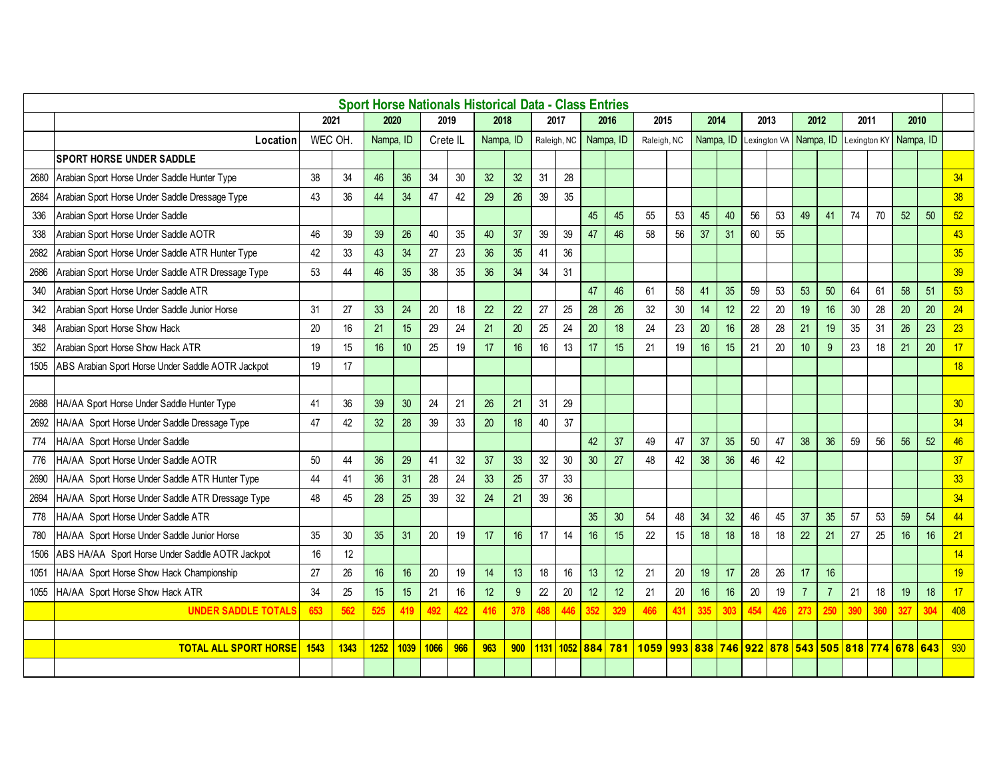|      |                                                    |        |      |                 |                 |          |     | <b>Sport Horse Nationals Historical Data - Class Entries</b> |     |      |             |     |                 |             |     |                                  |     |      |              |                |                |              |     |                                           |     |     |
|------|----------------------------------------------------|--------|------|-----------------|-----------------|----------|-----|--------------------------------------------------------------|-----|------|-------------|-----|-----------------|-------------|-----|----------------------------------|-----|------|--------------|----------------|----------------|--------------|-----|-------------------------------------------|-----|-----|
|      |                                                    | 2021   |      | 2020            |                 | 2019     |     | 2018                                                         |     |      | 2017        |     | 2016            | 2015        |     | 2014                             |     | 2013 |              | 2012           |                | 2011         |     | 2010                                      |     |     |
|      | Location                                           | WEC OH |      | Nampa, ID       |                 | Crete IL |     | Nampa, ID                                                    |     |      | Raleigh, NC |     | Nampa, ID       | Raleigh, NC |     | Nampa. ID                        |     |      | Lexington VA | Nampa, ID      |                | Lexington KY |     | Nampa. ID                                 |     |     |
|      | <b>SPORT HORSE UNDER SADDLE</b>                    |        |      |                 |                 |          |     |                                                              |     |      |             |     |                 |             |     |                                  |     |      |              |                |                |              |     |                                           |     |     |
| 2680 | Arabian Sport Horse Under Saddle Hunter Type       | 38     | 34   | 46              | 36              | 34       | 30  | 32                                                           | 32  | 31   | 28          |     |                 |             |     |                                  |     |      |              |                |                |              |     |                                           |     | 34  |
| 2684 | Arabian Sport Horse Under Saddle Dressage Type     | 43     | 36   | 44              | 34              | 47       | 42  | 29                                                           | 26  | 39   | 35          |     |                 |             |     |                                  |     |      |              |                |                |              |     |                                           |     | 38  |
| 336  | Arabian Sport Horse Under Saddle                   |        |      |                 |                 |          |     |                                                              |     |      |             | 45  | 45              | 55          | 53  | 45                               | 40  | 56   | 53           | 49             | 41             | 74           | 70  | 52                                        | 50  | 52  |
| 338  | Arabian Sport Horse Under Saddle AOTR              | 46     | 39   | 39              | 26              | 40       | 35  | 40                                                           | 37  | 39   | 39          | 47  | 46              | 58          | 56  | 37                               | 31  | 60   | 55           |                |                |              |     |                                           |     | 43  |
| 2682 | Arabian Sport Horse Under Saddle ATR Hunter Type   | 42     | 33   | 43              | 34              | 27       | 23  | 36                                                           | 35  | 41   | 36          |     |                 |             |     |                                  |     |      |              |                |                |              |     |                                           |     | 35  |
| 2686 | Arabian Sport Horse Under Saddle ATR Dressage Type | 53     | 44   | 46              | 35              | 38       | 35  | 36                                                           | 34  | 34   | 31          |     |                 |             |     |                                  |     |      |              |                |                |              |     |                                           |     | 39  |
| 340  | Arabian Sport Horse Under Saddle ATR               |        |      |                 |                 |          |     |                                                              |     |      |             | 47  | 46              | 61          | 58  | 41                               | 35  | 59   | 53           | 53             | 50             | 64           | 61  | 58                                        | 51  | 53  |
| 342  | Arabian Sport Horse Under Saddle Junior Horse      | 31     | 27   | 33              | 24              | 20       | 18  | 22                                                           | 22  | 27   | 25          | 28  | 26              | 32          | 30  | 14                               | 12  | 22   | 20           | 19             | 16             | 30           | 28  | 20                                        | 20  | 24  |
| 348  | Arabian Sport Horse Show Hack                      | 20     | 16   | 21              | 15              | 29       | 24  | 21                                                           | 20  | 25   | 24          | 20  | 18              | 24          | 23  | 20                               | 16  | 28   | 28           | 21             | 19             | 35           | 31  | 26                                        | 23  | 23  |
| 352  | Arabian Sport Horse Show Hack ATR                  | 19     | 15   | 16              | 10 <sup>°</sup> | 25       | 19  | 17                                                           | 16  | 16   | 13          | 17  | 15              | 21          | 19  | 16                               | 15  | 21   | 20           | 10             | 9              | 23           | 18  | 21                                        | 20  | 17  |
| 1505 | ABS Arabian Sport Horse Under Saddle AOTR Jackpot  | 19     | 17   |                 |                 |          |     |                                                              |     |      |             |     |                 |             |     |                                  |     |      |              |                |                |              |     |                                           |     | 18  |
|      |                                                    |        |      |                 |                 |          |     |                                                              |     |      |             |     |                 |             |     |                                  |     |      |              |                |                |              |     |                                           |     |     |
| 2688 | HA/AA Sport Horse Under Saddle Hunter Type         | 41     | 36   | 39              | 30 <sup>°</sup> | 24       | 21  | 26                                                           | 21  | 31   | 29          |     |                 |             |     |                                  |     |      |              |                |                |              |     |                                           |     | 30  |
| 2692 | HA/AA Sport Horse Under Saddle Dressage Type       | 47     | 42   | 32              | 28              | 39       | 33  | 20                                                           | 18  | 40   | 37          |     |                 |             |     |                                  |     |      |              |                |                |              |     |                                           |     | 34  |
| 774  | HA/AA Sport Horse Under Saddle                     |        |      |                 |                 |          |     |                                                              |     |      |             | 42  | 37              | 49          | 47  | 37                               | 35  | 50   | 47           | 38             | 36             | 59           | 56  | 56                                        | 52  | 46  |
| 776  | HA/AA Sport Horse Under Saddle AOTR                | 50     | 44   | 36              | 29              | 41       | 32  | 37                                                           | 33  | 32   | 30          | 30  | 27              | 48          | 42  | 38                               | 36  | 46   | 42           |                |                |              |     |                                           |     | 37  |
| 2690 | HA/AA Sport Horse Under Saddle ATR Hunter Type     | 44     | 41   | 36 <sup>°</sup> | 31              | 28       | 24  | 33                                                           | 25  | 37   | 33          |     |                 |             |     |                                  |     |      |              |                |                |              |     |                                           |     | 33  |
| 2694 | HA/AA Sport Horse Under Saddle ATR Dressage Type   | 48     | 45   | 28              | 25              | 39       | 32  | 24                                                           | 21  | 39   | 36          |     |                 |             |     |                                  |     |      |              |                |                |              |     |                                           |     | 34  |
| 778  | HA/AA Sport Horse Under Saddle ATR                 |        |      |                 |                 |          |     |                                                              |     |      |             | 35  | 30              | 54          | 48  | 34                               | 32  | 46   | 45           | 37             | 35             | 57           | 53  | 59                                        | 54  | 44  |
| 780  | HA/AA Sport Horse Under Saddle Junior Horse        | 35     | 30   | 35 <sub>5</sub> | 31              | 20       | 19  | 17                                                           | 16  | 17   | 14          | 16  | 15              | 22          | 15  | 18                               | 18  | 18   | 18           | 22             | 21             | 27           | 25  | 16                                        | 16  | 21  |
| 1506 | ABS HA/AA Sport Horse Under Saddle AOTR Jackpot    | 16     | 12   |                 |                 |          |     |                                                              |     |      |             |     |                 |             |     |                                  |     |      |              |                |                |              |     |                                           |     | 14  |
| 1051 | HA/AA Sport Horse Show Hack Championship           | 27     | 26   | 16              | 16              | 20       | 19  | 14                                                           | 13  | 18   | 16          | 13  | 12 <sup>°</sup> | 21          | 20  | 19                               | 17  | 28   | 26           | 17             | 16             |              |     |                                           |     | 19  |
| 1055 | HA/AA Sport Horse Show Hack ATR                    | 34     | 25   | 15              | 15              | 21       | 16  | 12                                                           | 9   | 22   | 20          | 12  | 12 <sup>°</sup> | 21          | 20  | 16                               | 16  | 20   | 19           | $\overline{7}$ | $\overline{7}$ | 21           | 18  | 19                                        | 18  | 17  |
|      | <b>UNDER SADDLE TOTALS</b>                         | 653    | 562  | 525             | 419             | 492      | 422 | 416                                                          | 378 |      |             | 352 | 329             | 466         | 431 | 335                              | 303 | 454  | 426          | 273            | 250            | 390          | 360 | 327                                       | 304 | 408 |
|      |                                                    |        |      |                 |                 |          |     |                                                              |     |      |             |     |                 |             |     |                                  |     |      |              |                |                |              |     |                                           |     |     |
|      | <b>TOTAL ALL SPORT HORSE</b>                       | 1543   | 1343 | 1252            | 1039            | 1066     | 966 | 963                                                          | 900 | 1131 | 1052 884    |     | 781             | 1059        | 993 | <mark>838 746 922 878 543</mark> |     |      |              |                |                |              |     | <mark> 505   818   774   678   643</mark> |     | 930 |
|      |                                                    |        |      |                 |                 |          |     |                                                              |     |      |             |     |                 |             |     |                                  |     |      |              |                |                |              |     |                                           |     |     |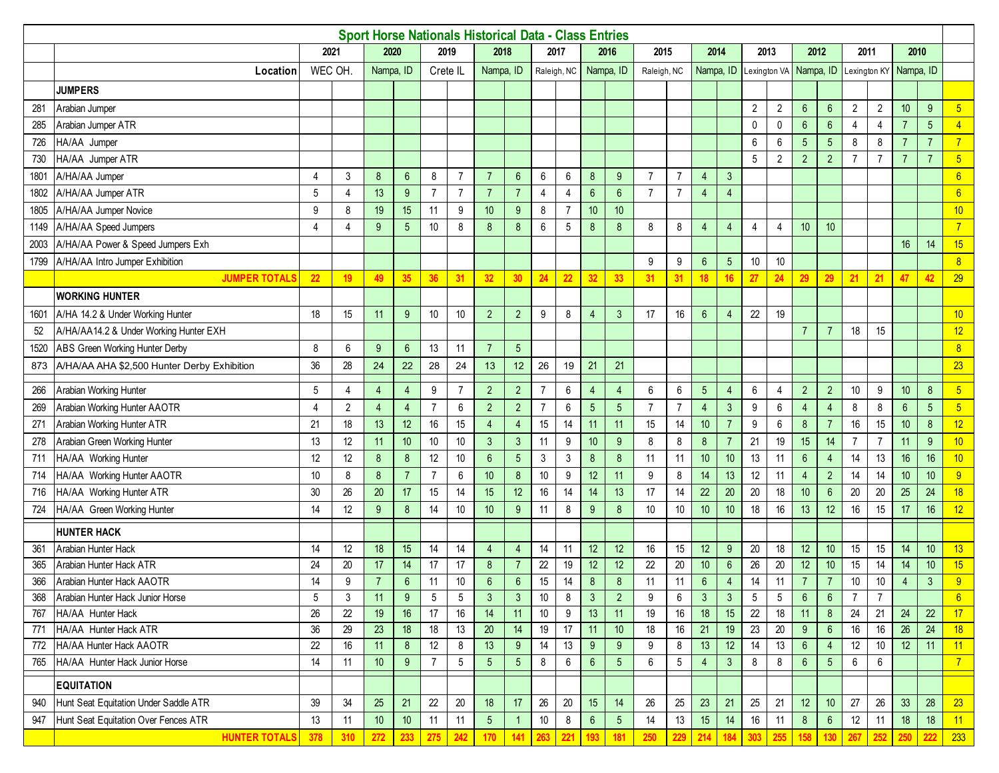|      |                                             |                |                |                 |                 |                |                  | <b>Sport Horse Nationals Historical Data - Class Entries</b> |                 |                 |                |                  |                        |                |                |                  |                |                |                        |                 |                 |                |                |                  |                 |                  |
|------|---------------------------------------------|----------------|----------------|-----------------|-----------------|----------------|------------------|--------------------------------------------------------------|-----------------|-----------------|----------------|------------------|------------------------|----------------|----------------|------------------|----------------|----------------|------------------------|-----------------|-----------------|----------------|----------------|------------------|-----------------|------------------|
|      |                                             |                | 2021           |                 | 2020            |                | 2019             | 2018                                                         |                 |                 | 2017           |                  | 2016                   | 2015           |                | 2014             |                |                | 2013                   |                 | 2012            | 2011           |                | 2010             |                 |                  |
|      | Location                                    | WEC OH         |                | Nampa. ID       |                 | Crete IL       |                  | Nampa, ID                                                    |                 |                 | Raleigh, NC    |                  | Nampa, ID              | Raleigh, NC    |                | Nampa, ID        |                |                | Lexington VA Nampa, ID |                 |                 |                | Lexington KY   | Nampa, ID        |                 |                  |
|      | <b>JUMPERS</b>                              |                |                |                 |                 |                |                  |                                                              |                 |                 |                |                  |                        |                |                |                  |                |                |                        |                 |                 |                |                |                  |                 |                  |
| 281  | Arabian Jumper                              |                |                |                 |                 |                |                  |                                                              |                 |                 |                |                  |                        |                |                |                  |                | $\overline{2}$ | $\overline{2}$         | $6\overline{6}$ | $6\overline{6}$ | $\sqrt{2}$     | $\overline{2}$ | 10               | 9               | 5 <sup>5</sup>   |
| 285  | Arabian Jumper ATR                          |                |                |                 |                 |                |                  |                                                              |                 |                 |                |                  |                        |                |                |                  |                | 0              | 0                      | $6\phantom{1}$  | $6\phantom{1}$  | $\overline{4}$ | 4              | $\overline{7}$   | $5\phantom{.0}$ | 4                |
| 726  | HA/AA Jumper                                |                |                |                 |                 |                |                  |                                                              |                 |                 |                |                  |                        |                |                |                  |                | 6              | 6                      | $5\phantom{.0}$ | $\sqrt{5}$      | $\bf 8$        | 8              | $\overline{7}$   | $\overline{7}$  | $\overline{7}$   |
| 730  | HA/AA Jumper ATR                            |                |                |                 |                 |                |                  |                                                              |                 |                 |                |                  |                        |                |                |                  |                | 5              | 2                      | $\overline{2}$  | $\overline{2}$  | $\overline{7}$ | $\overline{7}$ | $\overline{7}$   | $\overline{7}$  | $5\phantom{.0}$  |
| 1801 | A/HA/AA Jumper                              | 4              | 3              | 8               | $6\overline{6}$ | 8              | $\overline{7}$   | $\overline{7}$                                               | $6\overline{6}$ | 6               | 6              | 8                | 9                      | $\overline{7}$ | $\overline{7}$ | 4                | $\mathfrak{Z}$ |                |                        |                 |                 |                |                |                  |                 | $6\overline{6}$  |
| 1802 | A/HA/AA Jumper ATR                          | 5              | $\overline{4}$ | 13              | 9               | $\overline{7}$ | $\overline{7}$   | $\overline{7}$                                               | $\overline{7}$  | 4               | $\overline{4}$ | $6\phantom{1}$   | $6\phantom{1}$         | $\overline{7}$ | $\overline{7}$ | 4                | 4              |                |                        |                 |                 |                |                |                  |                 | $6\overline{6}$  |
| 1805 | A/HA/AA Jumper Novice                       | 9              | 8              | 19              | 15              | 11             | $\boldsymbol{9}$ | 10                                                           | 9               | 8               | $\overline{7}$ | 10               | 10                     |                |                |                  |                |                |                        |                 |                 |                |                |                  |                 | 10               |
| 1149 | A/HA/AA Speed Jumpers                       | $\overline{4}$ | 4              | 9               | 5               | 10             | 8                | 8                                                            | 8               | 6               | 5              | 8                | 8                      | 8              | 8              | 4                | $\overline{4}$ | $\overline{4}$ | $\overline{4}$         | 10              | 10              |                |                |                  |                 | $\overline{7}$   |
| 2003 | A/HA/AA Power & Speed Jumpers Exh           |                |                |                 |                 |                |                  |                                                              |                 |                 |                |                  |                        |                |                |                  |                |                |                        |                 |                 |                |                | 16               | 14              | 15               |
| 1799 | A/HA/AA Intro Jumper Exhibition             |                |                |                 |                 |                |                  |                                                              |                 |                 |                |                  |                        | 9              | 9              | 6                | 5              | 10             | 10                     |                 |                 |                |                |                  |                 | $\boldsymbol{8}$ |
|      | <b>JUMPER TOTALS</b>                        | 22             | 19             | 49              | 35              | 36             | 31               | 32                                                           | 30              | 24              | 22             | 32               | 33                     | 31             | 31             | 18               | 16             | 27             | 24                     | 29              | 29              | 21             | 21             | 47               | 42              | 29               |
|      | <b>WORKING HUNTER</b>                       |                |                |                 |                 |                |                  |                                                              |                 |                 |                |                  |                        |                |                |                  |                |                |                        |                 |                 |                |                |                  |                 |                  |
| 1601 | A/HA 14.2 & Under Working Hunter            | 18             | 15             | 11              | 9               | 10             | 10               | $\overline{2}$                                               | $\overline{2}$  | 9               | 8              | $\overline{4}$   | 3                      | 17             | 16             | 6                | $\overline{4}$ | 22             | 19                     |                 |                 |                |                |                  |                 | 10               |
| 52   | A/HA/AA14.2 & Under Working Hunter EXH      |                |                |                 |                 |                |                  |                                                              |                 |                 |                |                  |                        |                |                |                  |                |                |                        | $\overline{7}$  | $\overline{7}$  | 18             | 15             |                  |                 | 12               |
| 1520 | ABS Green Working Hunter Derby              | 8              | 6              | 9               | $6^{\circ}$     | 13             | 11               | $\overline{7}$                                               | 5               |                 |                |                  |                        |                |                |                  |                |                |                        |                 |                 |                |                |                  |                 | 8                |
| 873  | A/HA/AA AHA \$2,500 Hunter Derby Exhibition | 36             | 28             | 24              | 22              | 28             | 24               | 13                                                           | 12              | 26              | 19             | 21               | 21                     |                |                |                  |                |                |                        |                 |                 |                |                |                  |                 | 23               |
| 266  | Arabian Working Hunter                      | 5              | 4              | $\overline{4}$  | $\overline{4}$  | 9              | $\overline{7}$   | $\overline{2}$                                               | $\overline{2}$  | $\overline{7}$  | 6              | $\overline{4}$   | $\boldsymbol{\Lambda}$ | 6              | 6              | 5                | $\overline{4}$ | 6              | 4                      | $\sqrt{2}$      | $\overline{2}$  | 10             | 9              | 10               | $\bf 8$         | $\overline{5}$   |
| 269  | Arabian Working Hunter AAOTR                | $\overline{4}$ | $\overline{2}$ | $\overline{4}$  | $\overline{4}$  | $\overline{7}$ | 6                | $\overline{2}$                                               | $\overline{2}$  | $\overline{7}$  | 6              | 5                | 5                      | $\overline{7}$ | $\overline{7}$ | $\overline{4}$   | $\mathfrak{Z}$ | 9              | 6                      | $\overline{4}$  | $\overline{4}$  | $\bf 8$        | 8              | $\boldsymbol{6}$ | $5\phantom{.0}$ | $\overline{5}$   |
| 271  | Arabian Working Hunter ATR                  | 21             | 18             | 13              | 12              | 16             | 15               | $\overline{4}$                                               | $\overline{4}$  | 15              | 14             | 11               | 11                     | 15             | 14             | 10               | $\overline{7}$ | 9              | 6                      | 8               | $\overline{7}$  | 16             | 15             | 10               | $\bf 8$         | 12               |
| 278  | Arabian Green Working Hunter                | 13             | 12             | 11              | 10 <sup>°</sup> | 10             | 10               | 3                                                            | $\mathbf{3}$    | 11              | 9              | 10 <sup>10</sup> | 9                      | 8              | 8              | 8                | $\overline{7}$ | 21             | 19                     | 15              | 14              | $\overline{7}$ | $\overline{7}$ | 11               | 9               | 10 <sub>1</sub>  |
| 711  | HA/AA Working Hunter                        | 12             | 12             | $\bf 8$         | $\bf 8$         | 12             | 10               | $6\phantom{1}$                                               | 5               | 3               | 3              | 8                | 8                      | 11             | 11             | 10               | 10             | 13             | 11                     | $\sqrt{6}$      | $\overline{4}$  | 14             | 13             | 16               | 16              | 10 <sub>1</sub>  |
| 714  | HA/AA Working Hunter AAOTR                  | 10             | 8              | 8               | $\overline{7}$  | $\overline{7}$ | 6                | 10                                                           | 8               | 10 <sup>°</sup> | 9              | 12               | 11                     | 9              | 8              | 14               | 13             | 12             | 11                     | $\overline{4}$  | $\overline{2}$  | 14             | 14             | 10               | 10 <sup>°</sup> | 9                |
| 716  | HA/AA Working Hunter ATR                    | 30             | 26             | 20              | 17              | 15             | 14               | 15                                                           | 12              | 16              | 14             | 14               | 13                     | 17             | 14             | 22               | 20             | 20             | 18                     | 10              | $6\phantom{1}$  | 20             | $20\,$         | 25               | 24              | 18               |
| 724  | HA/AA Green Working Hunter                  | 14             | 12             | 9               | 8               | 14             | 10               | 10                                                           | 9               | 11              | 8              | 9                | 8                      | 10             | 10             | 10               | 10             | 18             | 16                     | 13              | 12              | 16             | 15             | 17               | 16              | 12               |
|      | <b>HUNTER HACK</b>                          |                |                |                 |                 |                |                  |                                                              |                 |                 |                |                  |                        |                |                |                  |                |                |                        |                 |                 |                |                |                  |                 |                  |
| 361  | Arabian Hunter Hack                         | 14             | 12             | 18              | 15              | 14             | 14               | $\overline{4}$                                               | $\overline{4}$  | 14              | 11             | 12               | 12                     | 16             | 15             | 12               | 9              | 20             | 18                     | 12              | 10              | 15             | 15             | 14               | $10$            | 13               |
| 365  | Arabian Hunter Hack ATR                     | 24             | 20             | 17              | 14              | 17             | 17               | 8                                                            | $\overline{7}$  | 22              | 19             | 12               | 12                     | 22             | 20             | 10               | $6\phantom{1}$ | 26             | 20                     | 12              | 10              | 15             | 14             | 14               | 10              | 15               |
| 366  | Arabian Hunter Hack AAOTR                   | 14             | 9              | $\overline{7}$  | 6               | 11             | 10               | 6                                                            | $6\phantom{1}6$ | 15              | 14             | 8                | 8                      | 11             | 11             | $\boldsymbol{6}$ | 4              | 14             | 11                     | $\overline{7}$  | $\overline{7}$  | 10             | $10$           | $\overline{4}$   | $\mathbf{3}$    | 9                |
| 368  | Arabian Hunter Hack Junior Horse            | 5              | 3              | 11              | 9               | 5              | 5                | 3                                                            | 3               | 10 <sup>°</sup> | 8              | 3                | $\overline{2}$         | 9              | 6              | 3                | 3              | 5              | 5                      | $6^{\circ}$     | 6               | 7              | $\overline{7}$ |                  |                 | $6^{\circ}$      |
| 767  | HA/AA Hunter Hack                           | 26             | 22             | 19              | 16              | 17             | $16\,$           | 14                                                           | 11              | 10              | 9              | 13               | 11                     | 19             | 16             | 18               | 15             | 22             | 18                     | 11              | 8               | 24             | 21             | 24               | 22              | 17               |
| 771  | HA/AA Hunter Hack ATR                       | 36             | 29             | 23              | 18              | 18             | 13               | $20\,$                                                       | 14              | 19              | 17             | 11               | $10$                   | 18             | 16             | 21               | 19             | 23             | $20\,$                 | 9               | $6^{\circ}$     | $16\,$         | $16\,$         | 26               | $24$            | 18               |
| 772  | HA/AA Hunter Hack AAOTR                     | 22             | 16             | 11              | 8               | 12             | 8                | 13                                                           | 9               | 14              | 13             | 9                | 9                      | 9              | 8              | 13               | 12             | 14             | 13                     | $6^{\circ}$     | $\overline{4}$  | 12             | 10             | 12               | 11              | 11               |
| 765  | HA/AA Hunter Hack Junior Horse              | 14             | 11             | 10 <sup>°</sup> | 9               | $\overline{7}$ | $5\,$            | $5\phantom{.0}$                                              | $5\overline{)}$ | 8               | 6              | $6\overline{6}$  | $5\phantom{.0}$        | 6              | 5              | 4                | $\mathbf{3}$   | 8              | 8                      | $6\phantom{.}6$ | $5\phantom{.0}$ | 6              | 6              |                  |                 | $\overline{7}$   |
|      | <b>EQUITATION</b>                           |                |                |                 |                 |                |                  |                                                              |                 |                 |                |                  |                        |                |                |                  |                |                |                        |                 |                 |                |                |                  |                 |                  |
| 940  | Hunt Seat Equitation Under Saddle ATR       | 39             | 34             | 25              | 21              | 22             | $20\,$           | 18                                                           | 17              | 26              | $20\,$         | 15               | 14                     | 26             | 25             | 23               | 21             | 25             | 21                     | 12              | 10              | 27             | 26             | 33               | 28              | 23 <sup>°</sup>  |
| 947  | Hunt Seat Equitation Over Fences ATR        | 13             | 11             | 10 <sup>°</sup> | 10              | 11             | 11               | $5\phantom{.0}$                                              |                 | 10 <sup>°</sup> | 8              | $6\overline{6}$  | 5 <sub>5</sub>         | 14             | 13             | 15               | 14             | 16             | 11                     | 8               | $6^{\circ}$     | 12             | 11             | $18$             | $18$            | 11               |
|      | <b>HUNTER TOTALS</b>                        | 378            | 310            | 272             | 233             | 275            | 242              | 170                                                          | 141             | 263             | 221            | 193              | 181                    | 250            | 229            | 214              | 184            | 303            | 255                    | 158             | 130             | 267            | 252            | 250              | 222             | 233              |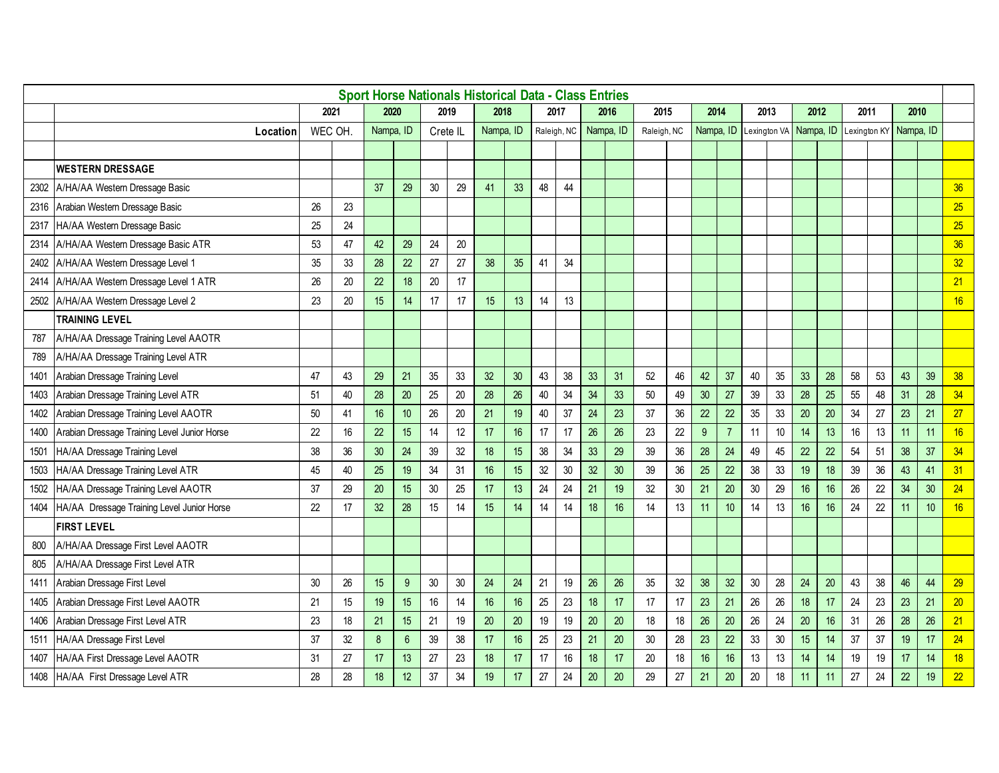|      |                                              |         |    |                  |                 |          |        | <b>Sport Horse Nationals Historical Data - Class Entries</b> |        |    |             |    |           |             |    |           |                |              |    |           |    |      |    |                        |    |    |
|------|----------------------------------------------|---------|----|------------------|-----------------|----------|--------|--------------------------------------------------------------|--------|----|-------------|----|-----------|-------------|----|-----------|----------------|--------------|----|-----------|----|------|----|------------------------|----|----|
|      |                                              | 2021    |    | 2020             |                 |          | 2019   | 2018                                                         |        |    | 2017        |    | 2016      | 2015        |    | 2014      |                | 2013         |    | 2012      |    | 2011 |    | 2010                   |    |    |
|      | Location                                     | WEC OH. |    | Nampa, ID        |                 | Crete IL |        | Nampa, ID                                                    |        |    | Raleigh, NC |    | Nampa, ID | Raleigh, NC |    | Nampa, ID |                | Lexington VA |    | Nampa, ID |    |      |    | Lexington KY Nampa, ID |    |    |
|      |                                              |         |    |                  |                 |          |        |                                                              |        |    |             |    |           |             |    |           |                |              |    |           |    |      |    |                        |    |    |
|      | <b>WESTERN DRESSAGE</b>                      |         |    |                  |                 |          |        |                                                              |        |    |             |    |           |             |    |           |                |              |    |           |    |      |    |                        |    |    |
|      | 2302 A/HA/AA Western Dressage Basic          |         |    | 37               | 29              | 30       | 29     | 41                                                           | 33     | 48 | 44          |    |           |             |    |           |                |              |    |           |    |      |    |                        |    | 36 |
| 2316 | Arabian Western Dressage Basic               | 26      | 23 |                  |                 |          |        |                                                              |        |    |             |    |           |             |    |           |                |              |    |           |    |      |    |                        |    | 25 |
| 2317 | HA/AA Western Dressage Basic                 | 25      | 24 |                  |                 |          |        |                                                              |        |    |             |    |           |             |    |           |                |              |    |           |    |      |    |                        |    | 25 |
| 2314 | A/HA/AA Western Dressage Basic ATR           | 53      | 47 | 42               | 29              | 24       | 20     |                                                              |        |    |             |    |           |             |    |           |                |              |    |           |    |      |    |                        |    | 36 |
| 2402 | A/HA/AA Western Dressage Level 1             | 35      | 33 | 28               | 22              | 27       | 27     | 38                                                           | 35     | 41 | 34          |    |           |             |    |           |                |              |    |           |    |      |    |                        |    | 32 |
| 2414 | A/HA/AA Western Dressage Level 1 ATR         | 26      | 20 | 22               | 18              | 20       | 17     |                                                              |        |    |             |    |           |             |    |           |                |              |    |           |    |      |    |                        |    | 21 |
|      | 2502 A/HA/AA Western Dressage Level 2        | 23      | 20 | 15               | 14              | 17       | 17     | 15                                                           | 13     | 14 | 13          |    |           |             |    |           |                |              |    |           |    |      |    |                        |    | 16 |
|      | <b>TRAINING LEVEL</b>                        |         |    |                  |                 |          |        |                                                              |        |    |             |    |           |             |    |           |                |              |    |           |    |      |    |                        |    |    |
| 787  | A/HA/AA Dressage Training Level AAOTR        |         |    |                  |                 |          |        |                                                              |        |    |             |    |           |             |    |           |                |              |    |           |    |      |    |                        |    |    |
| 789  | A/HA/AA Dressage Training Level ATR          |         |    |                  |                 |          |        |                                                              |        |    |             |    |           |             |    |           |                |              |    |           |    |      |    |                        |    |    |
| 1401 | Arabian Dressage Training Level              | 47      | 43 | 29               | 21              | 35       | 33     | 32                                                           | 30     | 43 | 38          | 33 | 31        | 52          | 46 | 42        | 37             | 40           | 35 | 33        | 28 | 58   | 53 | 43                     | 39 | 38 |
| 1403 | Arabian Dressage Training Level ATR          | 51      | 40 | 28               | $20\,$          | 25       | $20\,$ | 28                                                           | 26     | 40 | 34          | 34 | 33        | $50\,$      | 49 | 30        | 27             | 39           | 33 | 28        | 25 | 55   | 48 | 31                     | 28 | 34 |
| 1402 | Arabian Dressage Training Level AAOTR        | 50      | 41 | 16               | 10 <sup>°</sup> | 26       | 20     | 21                                                           | 19     | 40 | 37          | 24 | 23        | 37          | 36 | 22        | 22             | 35           | 33 | 20        | 20 | 34   | 27 | 23                     | 21 | 27 |
| 1400 | Arabian Dressage Training Level Junior Horse | 22      | 16 | 22               | 15              | 14       | 12     | 17                                                           | 16     | 17 | 17          | 26 | 26        | 23          | 22 | 9         | $\overline{7}$ | 11           | 10 | 14        | 13 | 16   | 13 | 11                     | 11 | 16 |
| 1501 | HA/AA Dressage Training Level                | 38      | 36 | 30               | 24              | 39       | 32     | 18                                                           | 15     | 38 | 34          | 33 | 29        | 39          | 36 | 28        | 24             | 49           | 45 | 22        | 22 | 54   | 51 | 38                     | 37 | 34 |
| 1503 | HA/AA Dressage Training Level ATR            | 45      | 40 | 25               | 19              | 34       | 31     | 16                                                           | 15     | 32 | 30          | 32 | 30        | 39          | 36 | 25        | 22             | 38           | 33 | 19        | 18 | 39   | 36 | 43                     | 41 | 31 |
| 1502 | HA/AA Dressage Training Level AAOTR          | 37      | 29 | 20               | 15              | $30\,$   | 25     | 17                                                           | 13     | 24 | 24          | 21 | 19        | 32          | 30 | 21        | 20             | 30           | 29 | 16        | 16 | 26   | 22 | 34                     | 30 | 24 |
| 1404 | HA/AA Dressage Training Level Junior Horse   | 22      | 17 | 32               | 28              | 15       | 14     | 15                                                           | 14     | 14 | 14          | 18 | 16        | 14          | 13 | 11        | 10             | 14           | 13 | 16        | 16 | 24   | 22 | 11                     | 10 | 16 |
|      | <b>FIRST LEVEL</b>                           |         |    |                  |                 |          |        |                                                              |        |    |             |    |           |             |    |           |                |              |    |           |    |      |    |                        |    |    |
| 800  | A/HA/AA Dressage First Level AAOTR           |         |    |                  |                 |          |        |                                                              |        |    |             |    |           |             |    |           |                |              |    |           |    |      |    |                        |    |    |
| 805  | A/HA/AA Dressage First Level ATR             |         |    |                  |                 |          |        |                                                              |        |    |             |    |           |             |    |           |                |              |    |           |    |      |    |                        |    |    |
| 1411 | Arabian Dressage First Level                 | 30      | 26 | 15               | 9               | 30       | 30     | 24                                                           | 24     | 21 | 19          | 26 | 26        | 35          | 32 | 38        | 32             | $30\,$       | 28 | 24        | 20 | 43   | 38 | 46                     | 44 | 29 |
| 1405 | Arabian Dressage First Level AAOTR           | 21      | 15 | 19               | 15              | 16       | 14     | 16                                                           | 16     | 25 | 23          | 18 | 17        | 17          | 17 | 23        | 21             | 26           | 26 | 18        | 17 | 24   | 23 | 23                     | 21 | 20 |
| 1406 | Arabian Dressage First Level ATR             | 23      | 18 | 21               | 15              | 21       | $19$   | 20                                                           | $20\,$ | 19 | 19          | 20 | $20\,$    | 18          | 18 | 26        | 20             | 26           | 24 | 20        | 16 | 31   | 26 | 28                     | 26 | 21 |
| 1511 | HA/AA Dressage First Level                   | 37      | 32 | $\boldsymbol{8}$ | $6\phantom{.}$  | 39       | 38     | 17                                                           | 16     | 25 | 23          | 21 | 20        | 30          | 28 | 23        | 22             | 33           | 30 | 15        | 14 | 37   | 37 | 19                     | 17 | 24 |
| 1407 | HA/AA First Dressage Level AAOTR             | 31      | 27 | 17               | 13              | 27       | 23     | 18                                                           | 17     | 17 | 16          | 18 | 17        | 20          | 18 | 16        | 16             | 13           | 13 | 14        | 14 | 19   | 19 | 17                     | 14 | 18 |
| 1408 | HA/AA First Dressage Level ATR               | 28      | 28 | 18               | 12              | 37       | 34     | 19                                                           | 17     | 27 | 24          | 20 | 20        | 29          | 27 | 21        | 20             | 20           | 18 | 11        | 11 | 27   | 24 | 22                     | 19 | 22 |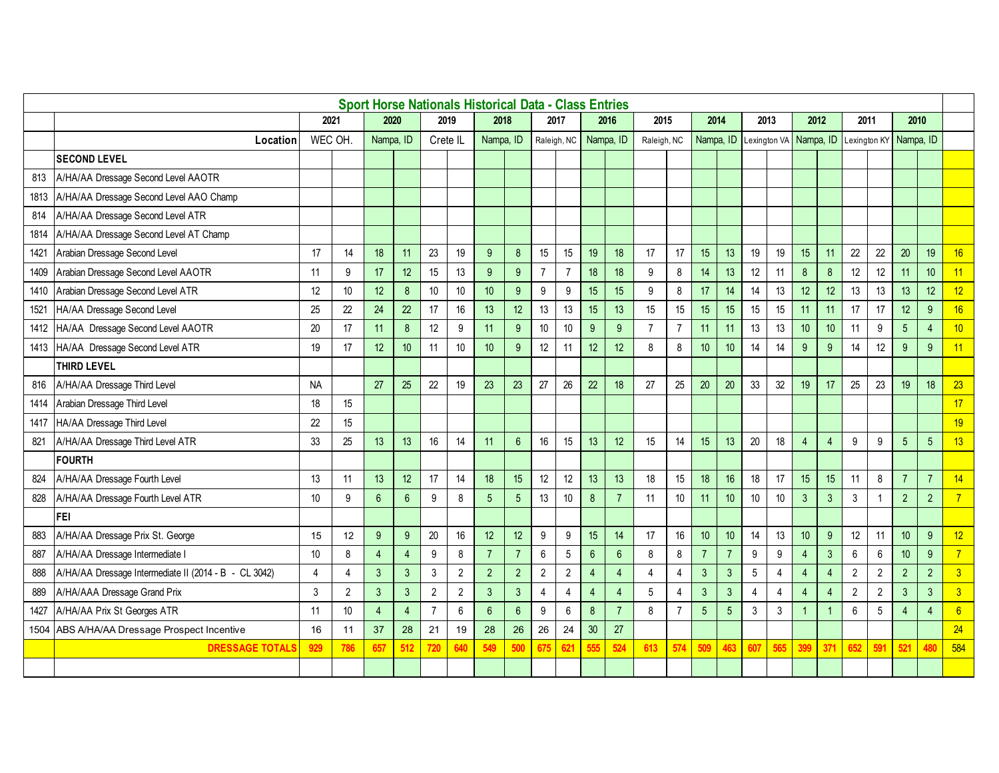|      |                                                       |           |                |                 |                 |                  |                | <b>Sport Horse Nationals Historical Data - Class Entries</b> |                |                |                 |                  |                |                |                |                |                |                |                        |                |                  |                |                  |                |                |                 |
|------|-------------------------------------------------------|-----------|----------------|-----------------|-----------------|------------------|----------------|--------------------------------------------------------------|----------------|----------------|-----------------|------------------|----------------|----------------|----------------|----------------|----------------|----------------|------------------------|----------------|------------------|----------------|------------------|----------------|----------------|-----------------|
|      |                                                       | 2021      |                | 2020            |                 | 2019             |                | 2018                                                         |                |                | 2017            |                  | 2016           | 2015           |                | 2014           |                | 2013           |                        | 2012           |                  | 2011           |                  | 2010           |                |                 |
|      | Location                                              | WEC OH    |                | Nampa, ID       |                 | Crete IL         |                | Nampa, ID                                                    |                | Raleigh, NC    |                 |                  | Nampa, ID      | Raleigh, NC    |                | Nampa, ID      |                |                | Lexington VA Nampa, ID |                |                  | Lexington KY   |                  | Nampa, ID      |                |                 |
|      | <b>SECOND LEVEL</b>                                   |           |                |                 |                 |                  |                |                                                              |                |                |                 |                  |                |                |                |                |                |                |                        |                |                  |                |                  |                |                |                 |
| 813  | A/HA/AA Dressage Second Level AAOTR                   |           |                |                 |                 |                  |                |                                                              |                |                |                 |                  |                |                |                |                |                |                |                        |                |                  |                |                  |                |                |                 |
| 1813 | A/HA/AA Dressage Second Level AAO Champ               |           |                |                 |                 |                  |                |                                                              |                |                |                 |                  |                |                |                |                |                |                |                        |                |                  |                |                  |                |                |                 |
| 814  | A/HA/AA Dressage Second Level ATR                     |           |                |                 |                 |                  |                |                                                              |                |                |                 |                  |                |                |                |                |                |                |                        |                |                  |                |                  |                |                |                 |
| 1814 | A/HA/AA Dressage Second Level AT Champ                |           |                |                 |                 |                  |                |                                                              |                |                |                 |                  |                |                |                |                |                |                |                        |                |                  |                |                  |                |                |                 |
| 1421 | Arabian Dressage Second Level                         | 17        | 14             | 18              | 11              | 23               | 19             | 9                                                            | 8              | 15             | 15              | 19               | 18             | 17             | 17             | 15             | 13             | 19             | 19                     | 15             | 11               | 22             | 22               | 20             | 19             | 16              |
| 1409 | Arabian Dressage Second Level AAOTR                   | 11        | 9              | 17              | 12 <sup>°</sup> | 15               | 13             | 9                                                            | 9              | $\overline{7}$ | $\overline{7}$  | 18               | 18             | 9              | $\bf 8$        | 14             | 13             | 12             | 11                     | $\bf 8$        | $\bf 8$          | 12             | 12               | 11             | 10             | 11              |
| 1410 | Arabian Dressage Second Level ATR                     | 12        | 10             | 12 <sup>°</sup> | $\bf 8$         | 10               | 10             | 10                                                           | 9              | 9              | 9               | 15               | 15             | 9              | 8              | 17             | 14             | 14             | 13                     | 12             | 12               | 13             | 13               | 13             | 12             | 12 <sup>°</sup> |
| 1521 | HA/AA Dressage Second Level                           | 25        | 22             | 24              | 22              | 17               | 16             | 13                                                           | 12             | 13             | 13              | 15               | 13             | 15             | 15             | 15             | 15             | 15             | 15                     | 11             | 11               | 17             | 17               | 12             | 9              | 16              |
| 1412 | HA/AA Dressage Second Level AAOTR                     | 20        | 17             | 11              | $\bf 8$         | 12               | 9              | 11                                                           | 9              | 10             | 10              | 9                | 9              | $\overline{7}$ | $\overline{7}$ | 11             | 11             | 13             | 13                     | 10             | 10               | 11             | $\boldsymbol{9}$ | $\overline{5}$ | $\overline{4}$ | 10 <sup>°</sup> |
| 1413 | HA/AA Dressage Second Level ATR                       | 19        | 17             | 12 <sup>°</sup> | 10              | 11               | 10             | 10                                                           | 9              | 12             | 11              | 12               | 12             | 8              | 8              | 10             | 10             | 14             | 14                     | 9              | 9                | 14             | 12               | 9              | 9              | 11              |
|      | <b>THIRD LEVEL</b>                                    |           |                |                 |                 |                  |                |                                                              |                |                |                 |                  |                |                |                |                |                |                |                        |                |                  |                |                  |                |                |                 |
| 816  | A/HA/AA Dressage Third Level                          | <b>NA</b> |                | 27              | 25              | 22               | 19             | 23                                                           | 23             | 27             | 26              | 22               | 18             | 27             | 25             | 20             | 20             | 33             | 32                     | 19             | 17               | 25             | 23               | 19             | 18             | 23              |
| 1414 | Arabian Dressage Third Level                          | 18        | 15             |                 |                 |                  |                |                                                              |                |                |                 |                  |                |                |                |                |                |                |                        |                |                  |                |                  |                |                | 17              |
| 1417 | HA/AA Dressage Third Level                            | 22        | 15             |                 |                 |                  |                |                                                              |                |                |                 |                  |                |                |                |                |                |                |                        |                |                  |                |                  |                |                | 19              |
| 821  | A/HA/AA Dressage Third Level ATR                      | 33        | 25             | 13              | 13              | 16               | 14             | 11                                                           | 6              | 16             | 15              | 13               | 12             | 15             | 14             | 15             | 13             | 20             | 18                     | $\overline{4}$ | $\overline{4}$   | 9              | $\boldsymbol{9}$ | $\overline{5}$ | 5              | 13              |
|      | <b>FOURTH</b>                                         |           |                |                 |                 |                  |                |                                                              |                |                |                 |                  |                |                |                |                |                |                |                        |                |                  |                |                  |                |                |                 |
| 824  | A/HA/AA Dressage Fourth Level                         | 13        | 11             | 13              | 12 <sup>°</sup> | 17               | 14             | 18                                                           | 15             | 12             | 12              | 13               | 13             | 18             | 15             | 18             | 16             | 18             | 17                     | 15             | 15               | 11             | $\bf 8$          | $\overline{7}$ | $\overline{7}$ | 14              |
| 828  | A/HA/AA Dressage Fourth Level ATR                     | 10        | 9              | $6\phantom{1}$  | $6\overline{6}$ | $\boldsymbol{9}$ | 8              | 5                                                            | 5              | 13             | 10              | $\delta$         | $\overline{7}$ | 11             | 10             | 11             | 10             | 10             | 10                     | $\mathbf{3}$   | $\mathbf{3}$     | $\mathbf{3}$   | $\mathbf{1}$     | $\overline{2}$ | $\overline{2}$ | $\overline{7}$  |
|      | <b>FEI</b>                                            |           |                |                 |                 |                  |                |                                                              |                |                |                 |                  |                |                |                |                |                |                |                        |                |                  |                |                  |                |                |                 |
| 883  | A/HA/AA Dressage Prix St. George                      | 15        | 12             | 9               | $9\,$           | $20\,$           | 16             | 12                                                           | 12             | 9              | 9               | 15               | 14             | 17             | 16             | 10             | 10             | 14             | 13                     | 10             | $\boldsymbol{9}$ | 12             | 11               | 10             | $9\,$          | 12 <sup>°</sup> |
| 887  | A/HA/AA Dressage Intermediate I                       | 10        | 8              | $\overline{4}$  | $\overline{4}$  | $\boldsymbol{9}$ | $\bf 8$        | $\overline{7}$                                               | $\overline{7}$ | 6              | 5               | $\boldsymbol{6}$ | 6              | 8              | 8              | $\overline{7}$ | $\overline{7}$ | 9              | 9                      | $\overline{4}$ | $\mathbf{3}$     | $\,6\,$        | $\boldsymbol{6}$ | 10             | $9\,$          | $\overline{7}$  |
| 888  | A/HA/AA Dressage Intermediate II (2014 - B - CL 3042) | 4         | 4              | 3               | 3 <sup>1</sup>  | $\mathbf{3}$     | $\overline{2}$ | $\overline{2}$                                               | $\overline{2}$ | $\overline{2}$ | $\overline{2}$  | $\overline{4}$   | $\overline{4}$ | 4              | 4              | $\mathbf{3}$   | $\mathbf{3}$   | 5              | $\overline{4}$         | $\overline{4}$ | $\overline{4}$   | $\overline{2}$ | $\overline{2}$   | $\overline{2}$ | $\overline{2}$ | $\overline{3}$  |
| 889  | A/HA/AAA Dressage Grand Prix                          | 3         | $\overline{2}$ | $\mathbf{3}$    | $\mathbf{3}$    | $\overline{2}$   | $\sqrt{2}$     | $\mathbf{3}$                                                 | 3              | $\overline{4}$ | $\overline{4}$  | $\overline{4}$   | $\overline{4}$ | $\overline{5}$ | 4              | $\mathbf{3}$   | $\mathbf{3}$   | $\overline{4}$ | $\overline{4}$         | $\overline{4}$ | $\overline{4}$   | $\sqrt{2}$     | $\sqrt{2}$       | $\mathbf{3}$   | $\mathbf{3}$   | $\overline{3}$  |
| 1427 | A/HA/AA Prix St Georges ATR                           | 11        | 10             | $\overline{4}$  | $\overline{4}$  | $\overline{7}$   | $6\phantom{a}$ | 6                                                            | 6              | 9              | 6               | $\bf 8$          | $\overline{7}$ | 8              | $\overline{7}$ | 5              | 5              | $\mathbf{3}$   | 3                      |                |                  | $6\,$          | 5                | 4              | $\overline{4}$ | $6\overline{6}$ |
|      | 1504 ABS A/HA/AA Dressage Prospect Incentive          | 16        | 11             | 37              | 28              | 21               | 19             | 28                                                           | 26             | 26             | 24              | 30               | 27             |                |                |                |                |                |                        |                |                  |                |                  |                |                | 24              |
|      | <b>DRESSAGE TOTALS</b>                                | 929       | 786            | 657             | 512             | 720              | 640            | 549                                                          | 500            | 675            | 62 <sup>1</sup> | 555              | 524            | 613            | 574            | 509            | 463            | 607            | 565                    | 399            | 371              | 652            | 591              | 521            | 480            | 584             |
|      |                                                       |           |                |                 |                 |                  |                |                                                              |                |                |                 |                  |                |                |                |                |                |                |                        |                |                  |                |                  |                |                |                 |